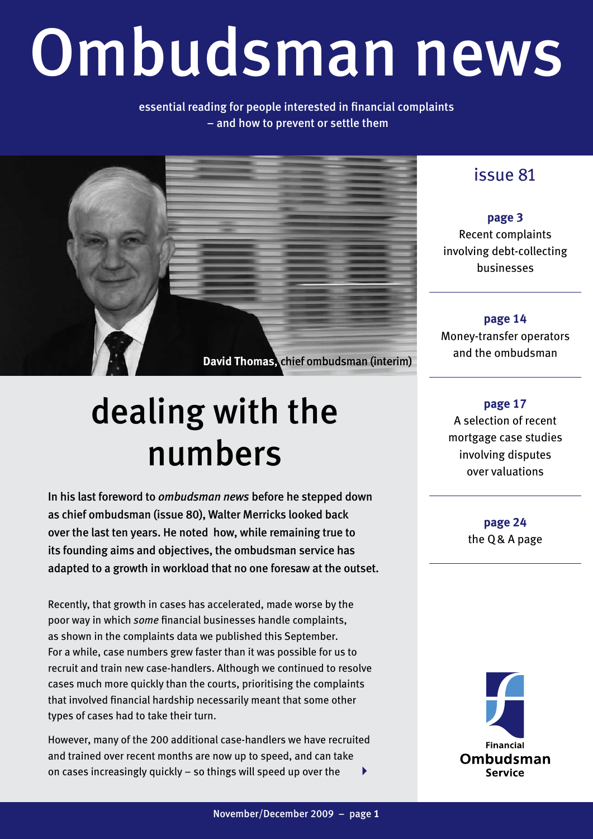# Ombudsman news

#### essential reading for people interested in financial complaints – and how to prevent or settle them



## dealing with the numbers

In his last foreword to *ombudsman news* before he stepped down as chief ombudsman (issue 80), Walter Merricks looked back over the last ten years. He noted how, while remaining true to its founding aims and objectives, the ombudsman service has adapted to a growth in workload that no one foresaw at the outset.

Recently, that growth in cases has accelerated, made worse by the poor way in which *some* financial businesses handle complaints, as shown in the complaints data we published this September. For a while, case numbers grew faster than it was possible for us to recruit and train new case-handlers. Although we continued to resolve cases much more quickly than the courts, prioritising the complaints that involved financial hardship necessarily meant that some other types of cases had to take their turn.

However, many of the 200 additional case-handlers we have recruited and trained over recent months are now up to speed, and can take on cases increasingly quickly – so things will speed up over the 4

### issue 81

**page 3** Recent complaints involving debt-collecting businesses

**page 14** Money-transfer operators and the ombudsman

**page 17** A selection of recent mortgage case studies involving disputes over valuations

> **page 24** the Q& A page

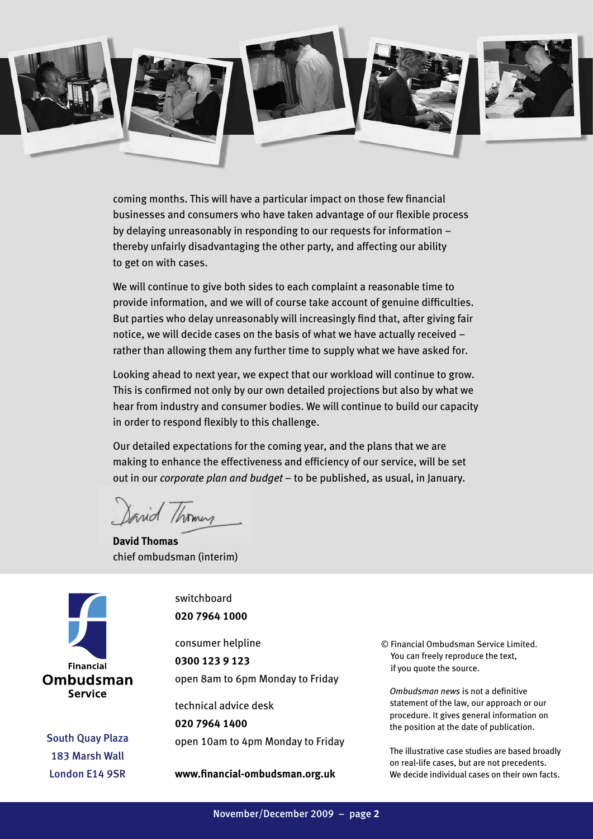

coming months. This will have a particular impact on those few financial businesses and consumers who have taken advantage of our flexible process by delaying unreasonably in responding to our requests for information – thereby unfairly disadvantaging the other party, and affecting our ability to get on with cases.

We will continue to give both sides to each complaint a reasonable time to provide information, and we will of course take account of genuine difficulties. But parties who delay unreasonably will increasingly find that, after giving fair notice, we will decide cases on the basis of what we have actually received – rather than allowing them any further time to supply what we have asked for.

Looking ahead to next year, we expect that our workload will continue to grow. This is confirmed not only by our own detailed projections but also by what we hear from industry and consumer bodies. We will continue to build our capacity in order to respond flexibly to this challenge.

Our detailed expectations for the coming year, and the plans that we are making to enhance the effectiveness and efficiency of our service, will be set out in our *corporate plan and budget* – to be published, as usual, in January.

Sarid /homes

**David Thomas** chief ombudsman (interim)



South Quay Plaza 183 Marsh Wall London E14 9SR

switchboard **020 7964 1000**

consumer helpline **0300 123 9 123** open 8am to 6pm Monday to Friday

technical advice desk **020 7964 1400** open 10am to 4pm Monday to Friday

**www.financial-ombudsman.org.uk**

© Financial Ombudsman Service Limited. You can freely reproduce the text, if you quote the source.

*Ombudsman news* is not a definitive statement of the law, our approach or our procedure. It gives general information on the position at the date of publication.

The illustrative case studies are based broadly on real-life cases, but are not precedents. We decide individual cases on their own facts.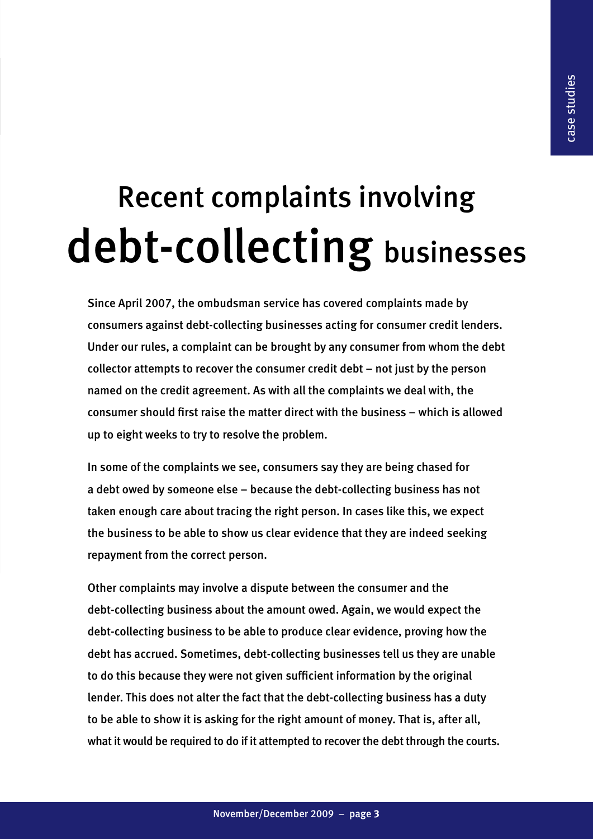## Recent complaints involving debt-collecting businesses

Since April 2007, the ombudsman service has covered complaints made by consumers against debt-collecting businesses acting for consumer credit lenders. Under our rules, a complaint can be brought by any consumer from whom the debt collector attempts to recover the consumer credit debt – not just by the person named on the credit agreement. As with all the complaints we deal with, the consumer should first raise the matter direct with the business – which is allowed up to eight weeks to try to resolve the problem.

In some of the complaints we see, consumers say they are being chased for a debt owed by someone else – because the debt-collecting business has not taken enough care about tracing the right person. In cases like this, we expect the business to be able to show us clear evidence that they are indeed seeking repayment from the correct person.

Other complaints may involve a dispute between the consumer and the debt-collecting business about the amount owed. Again, we would expect the debt-collecting business to be able to produce clear evidence, proving how the debt has accrued. Sometimes, debt-collecting businesses tell us they are unable to do this because they were not given sufficient information by the original lender. This does not alter the fact that the debt-collecting business has a duty to be able to show it is asking for the right amount of money. That is, after all, what it would be required to do if it attempted to recover the debt through the courts.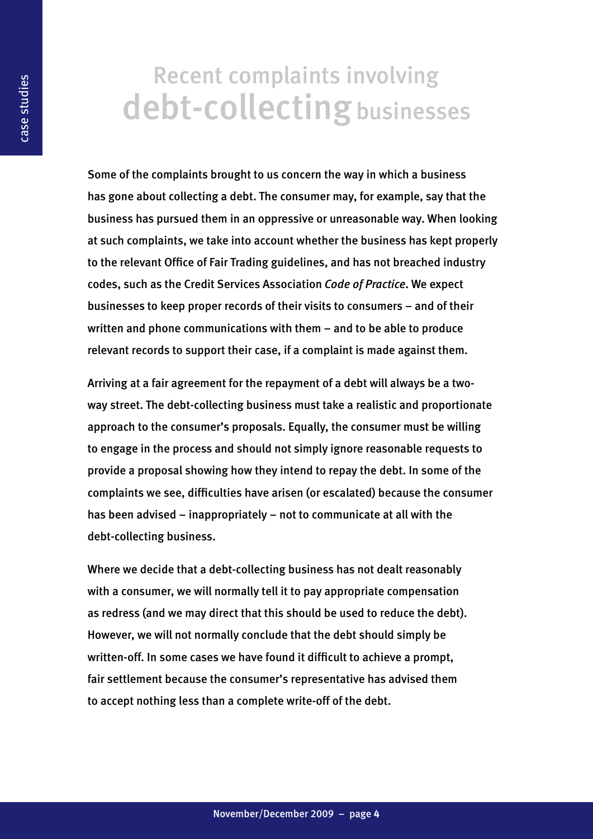## Recent complaints involving debt-collecting businesses

Some of the complaints brought to us concern the way in which a business has gone about collecting a debt. The consumer may, for example, say that the business has pursued them in an oppressive or unreasonable way. When looking at such complaints, we take into account whether the business has kept properly to the relevant Office of Fair Trading guidelines, and has not breached industry codes, such as the Credit Services Association *Code of Practice*. We expect businesses to keep proper records of their visits to consumers – and of their written and phone communications with them – and to be able to produce relevant records to support their case, if a complaint is made against them.

Arriving at a fair agreement for the repayment of a debt will always be a twoway street. The debt-collecting business must take a realistic and proportionate approach to the consumer's proposals. Equally, the consumer must be willing to engage in the process and should not simply ignore reasonable requests to provide a proposal showing how they intend to repay the debt. In some of the complaints we see, difficulties have arisen (or escalated) because the consumer has been advised – inappropriately – not to communicate at all with the debt-collecting business.

Where we decide that a debt-collecting business has not dealt reasonably with a consumer, we will normally tell it to pay appropriate compensation as redress (and we may direct that this should be used to reduce the debt). However, we will not normally conclude that the debt should simply be written-off. In some cases we have found it difficult to achieve a prompt, fair settlement because the consumer's representative has advised them to accept nothing less than a complete write-off of the debt.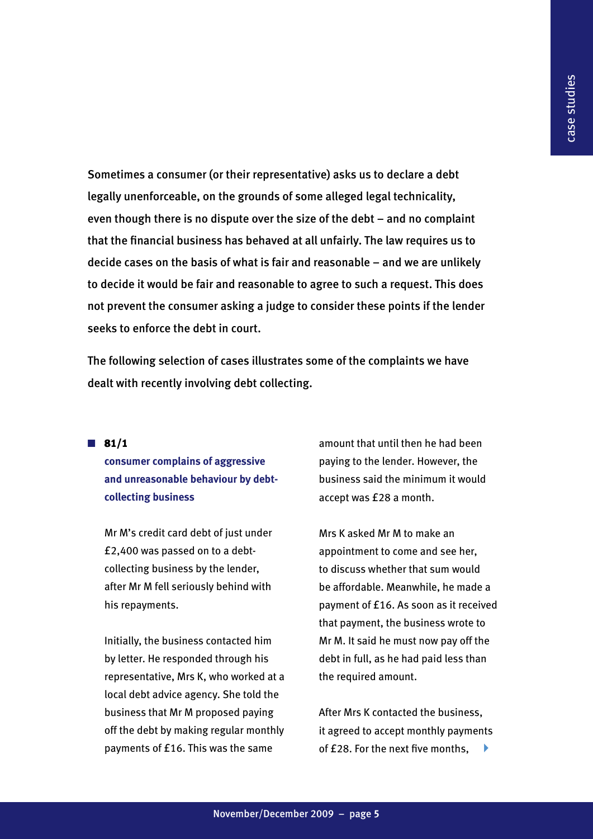Sometimes a consumer (or their representative) asks us to declare a debt legally unenforceable, on the grounds of some alleged legal technicality, even though there is no dispute over the size of the debt – and no complaint that the financial business has behaved at all unfairly. The law requires us to decide cases on the basis of what is fair and reasonable – and we are unlikely to decide it would be fair and reasonable to agree to such a request. This does not prevent the consumer asking a judge to consider these points if the lender seeks to enforce the debt in court.

The following selection of cases illustrates some of the complaints we have dealt with recently involving debt collecting.

 $\blacksquare$  81/1

**consumer complains of aggressive and unreasonable behaviour by debtcollecting business**

Mr M's credit card debt of just under £2,400 was passed on to a debtcollecting business by the lender, after Mr M fell seriously behind with his repayments.

Initially, the business contacted him by letter. He responded through his representative, Mrs K, who worked at a local debt advice agency. She told the business that Mr M proposed paying off the debt by making regular monthly payments of £16. This was the same

amount that until then he had been paying to the lender. However, the business said the minimum it would accept was £28 a month.

Mrs K asked Mr M to make an appointment to come and see her, to discuss whether that sum would be affordable. Meanwhile, he made a payment of £16. As soon as it received that payment, the business wrote to Mr M. It said he must now pay off the debt in full, as he had paid less than the required amount.

After Mrs K contacted the business, it agreed to accept monthly payments of £28. For the next five months, 4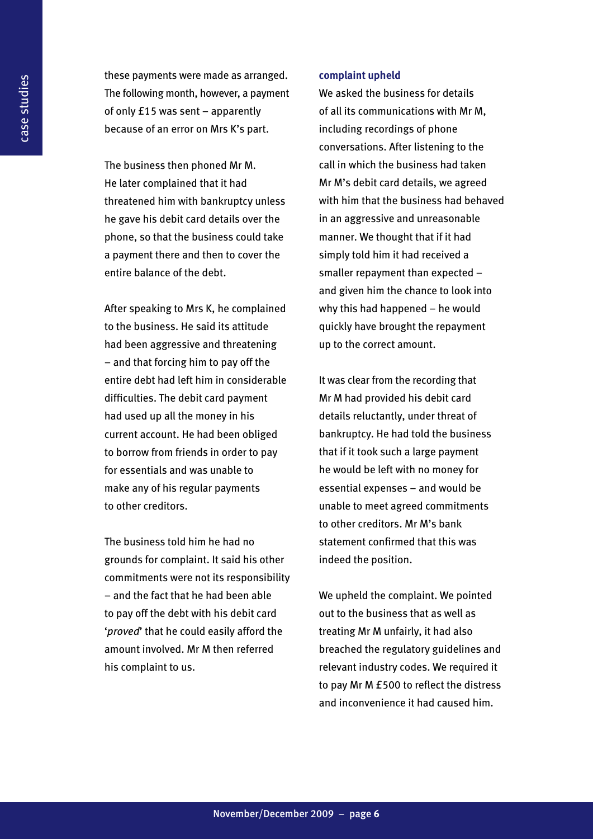these payments were made as arranged. The following month, however, a payment of only £15 was sent – apparently because of an error on Mrs K's part.

The business then phoned Mr M. He later complained that it had threatened him with bankruptcy unless he gave his debit card details over the phone, so that the business could take a payment there and then to cover the entire balance of the debt.

After speaking to Mrs K, he complained to the business. He said its attitude had been aggressive and threatening – and that forcing him to pay off the entire debt had left him in considerable difficulties. The debit card payment had used up all the money in his current account. He had been obliged to borrow from friends in order to pay for essentials and was unable to make any of his regular payments to other creditors.

The business told him he had no grounds for complaint. It said his other commitments were not its responsibility – and the fact that he had been able to pay off the debt with his debit card '*proved*' that he could easily afford the amount involved. Mr M then referred his complaint to us.

#### **complaint upheld**

We asked the business for details of all its communications with Mr M, including recordings of phone conversations. After listening to the call in which the business had taken Mr M's debit card details, we agreed with him that the business had behaved in an aggressive and unreasonable manner. We thought that if it had simply told him it had received a smaller repayment than expected – and given him the chance to look into why this had happened – he would quickly have brought the repayment up to the correct amount.

It was clear from the recording that Mr M had provided his debit card details reluctantly, under threat of bankruptcy. He had told the business that if it took such a large payment he would be left with no money for essential expenses – and would be unable to meet agreed commitments to other creditors. Mr M's bank statement confirmed that this was indeed the position.

We upheld the complaint. We pointed out to the business that as well as treating Mr M unfairly, it had also breached the regulatory guidelines and relevant industry codes. We required it to pay Mr M £500 to reflect the distress and inconvenience it had caused him.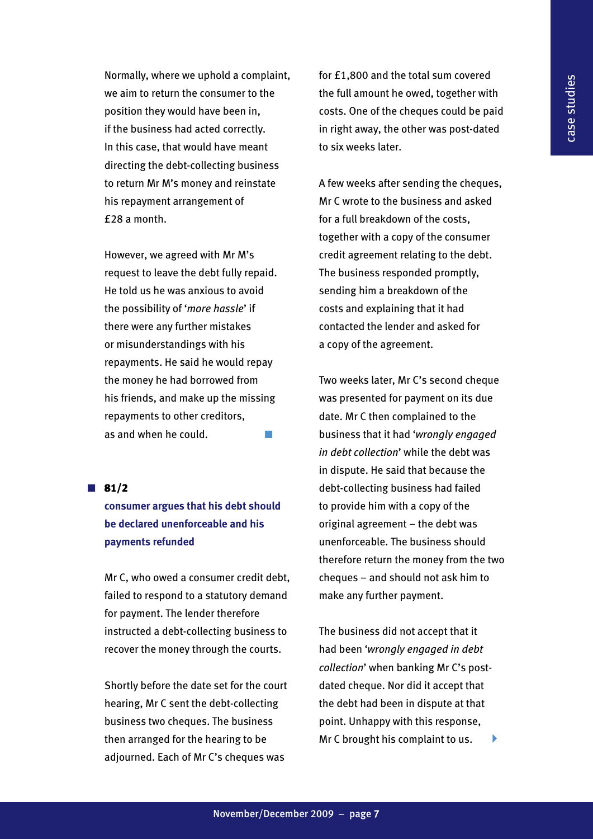Normally, where we uphold a complaint, we aim to return the consumer to the position they would have been in, if the business had acted correctly. In this case, that would have meant directing the debt-collecting business to return Mr M's money and reinstate his repayment arrangement of £28 a month.

However, we agreed with Mr M's request to leave the debt fully repaid. He told us he was anxious to avoid the possibility of '*more hassle*' if there were any further mistakes or misunderstandings with his repayments. He said he would repay the money he had borrowed from his friends, and make up the missing repayments to other creditors, as and when he could.  $\Box$ 

 $\blacksquare$  81/2

#### **consumer argues that his debt should be declared unenforceable and his payments refunded**

Mr C, who owed a consumer credit debt, failed to respond to a statutory demand for payment. The lender therefore instructed a debt-collecting business to recover the money through the courts.

Shortly before the date set for the court hearing, Mr C sent the debt-collecting business two cheques. The business then arranged for the hearing to be adjourned. Each of Mr C's cheques was

for £1,800 and the total sum covered the full amount he owed, together with costs. One of the cheques could be paid in right away, the other was post-dated to six weeks later.

A few weeks after sending the cheques, Mr C wrote to the business and asked for a full breakdown of the costs, together with a copy of the consumer credit agreement relating to the debt. The business responded promptly, sending him a breakdown of the costs and explaining that it had contacted the lender and asked for a copy of the agreement.

Two weeks later, Mr C's second cheque was presented for payment on its due date. Mr C then complained to the business that it had '*wrongly engaged in debt collection*' while the debt was in dispute. He said that because the debt-collecting business had failed to provide him with a copy of the original agreement – the debt was unenforceable. The business should therefore return the money from the two cheques – and should not ask him to make any further payment.

The business did not accept that it had been '*wrongly engaged in debt collection*' when banking Mr C's postdated cheque. Nor did it accept that the debt had been in dispute at that point. Unhappy with this response, Mr C brought his complaint to us.  $\blacktriangleright$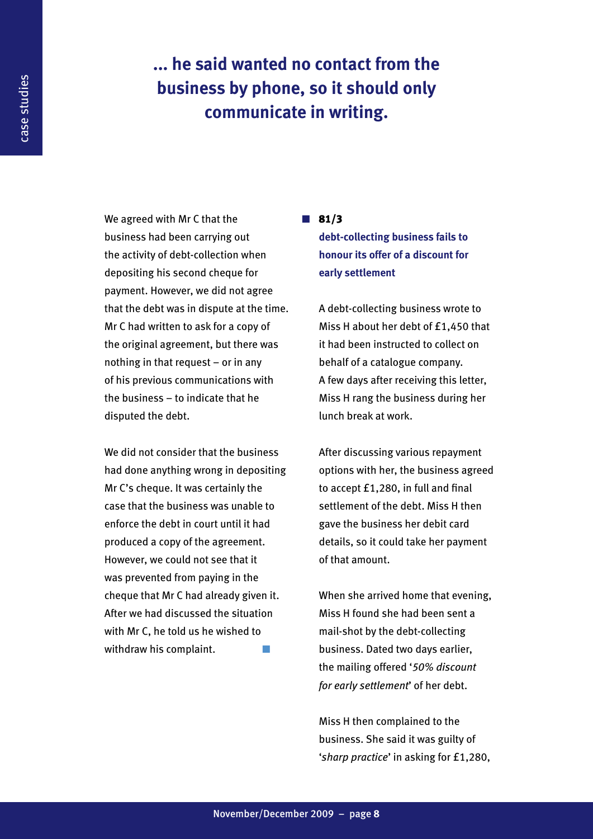## **... he said wanted no contact from the business by phone, so it should only communicate in writing.**

We agreed with Mr C that the business had been carrying out the activity of debt-collection when depositing his second cheque for payment. However, we did not agree that the debt was in dispute at the time. Mr C had written to ask for a copy of the original agreement, but there was nothing in that request – or in any of his previous communications with the business – to indicate that he disputed the debt.

We did not consider that the business had done anything wrong in depositing Mr C's cheque. It was certainly the case that the business was unable to enforce the debt in court until it had produced a copy of the agreement. However, we could not see that it was prevented from paying in the cheque that Mr C had already given it. After we had discussed the situation with Mr C, he told us he wished to withdraw his complaint.

#### $\blacksquare$  81/3

**debt-collecting business fails to honour its offer of a discount for early settlement**

A debt-collecting business wrote to Miss H about her debt of £1,450 that it had been instructed to collect on behalf of a catalogue company. A few days after receiving this letter, Miss H rang the business during her lunch break at work.

After discussing various repayment options with her, the business agreed to accept £1,280, in full and final settlement of the debt. Miss H then gave the business her debit card details, so it could take her payment of that amount.

When she arrived home that evening, Miss H found she had been sent a mail-shot by the debt-collecting business. Dated two days earlier, the mailing offered '*50% discount for early settlement*' of her debt.

Miss H then complained to the business. She said it was guilty of '*sharp practice*' in asking for £1,280,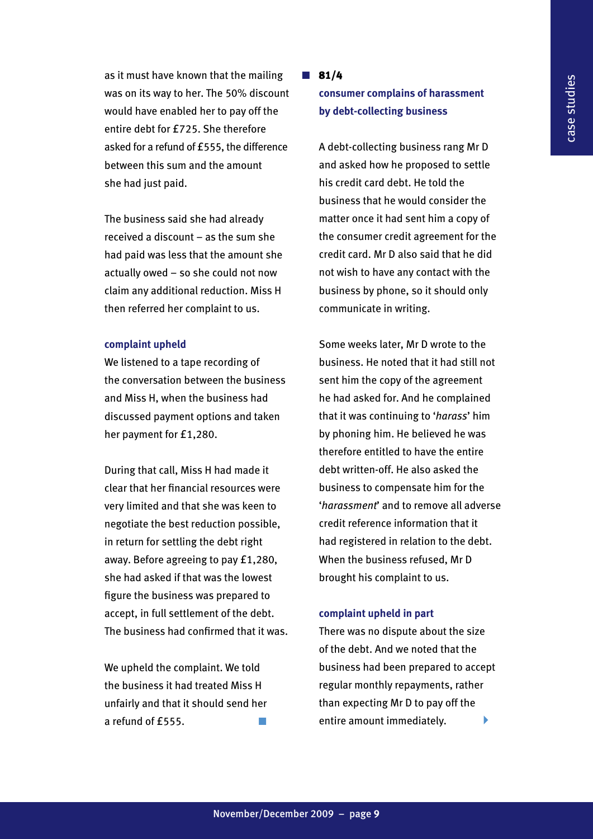as it must have known that the mailing was on its way to her. The 50% discount would have enabled her to pay off the entire debt for £725. She therefore asked for a refund of £555, the difference between this sum and the amount she had just paid.

The business said she had already received a discount – as the sum she had paid was less that the amount she actually owed – so she could not now claim any additional reduction. Miss H then referred her complaint to us.

#### **complaint upheld**

We listened to a tape recording of the conversation between the business and Miss H, when the business had discussed payment options and taken her payment for £1,280.

During that call, Miss H had made it clear that her financial resources were very limited and that she was keen to negotiate the best reduction possible, in return for settling the debt right away. Before agreeing to pay £1,280, she had asked if that was the lowest figure the business was prepared to accept, in full settlement of the debt. The business had confirmed that it was.

We upheld the complaint. We told the business it had treated Miss H unfairly and that it should send her a refund of £555.

#### $\blacksquare$  81/4

#### **consumer complains of harassment by debt-collecting business**

A debt-collecting business rang Mr D and asked how he proposed to settle his credit card debt. He told the business that he would consider the matter once it had sent him a copy of the consumer credit agreement for the credit card. Mr D also said that he did not wish to have any contact with the business by phone, so it should only communicate in writing.

Some weeks later, Mr D wrote to the business. He noted that it had still not sent him the copy of the agreement he had asked for. And he complained that it was continuing to '*harass*' him by phoning him. He believed he was therefore entitled to have the entire debt written-off. He also asked the business to compensate him for the '*harassment*' and to remove all adverse credit reference information that it had registered in relation to the debt. When the business refused, Mr D brought his complaint to us.

#### **complaint upheld in part**

There was no dispute about the size of the debt. And we noted that the business had been prepared to accept regular monthly repayments, rather than expecting Mr D to pay off the entire amount immediately.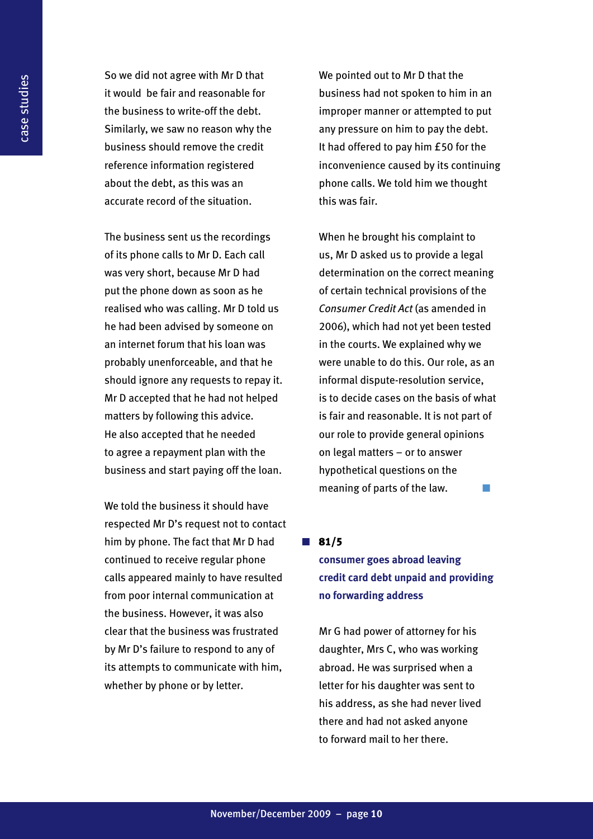So we did not agree with Mr D that it would be fair and reasonable for the business to write-off the debt. Similarly, we saw no reason why the business should remove the credit reference information registered about the debt, as this was an accurate record of the situation.

The business sent us the recordings of its phone calls to Mr D. Each call was very short, because Mr D had put the phone down as soon as he realised who was calling. Mr D told us he had been advised by someone on an internet forum that his loan was probably unenforceable, and that he should ignore any requests to repay it. Mr D accepted that he had not helped matters by following this advice. He also accepted that he needed to agree a repayment plan with the business and start paying off the loan.

We told the business it should have respected Mr D's request not to contact him by phone. The fact that Mr D had continued to receive regular phone calls appeared mainly to have resulted from poor internal communication at the business. However, it was also clear that the business was frustrated by Mr D's failure to respond to any of its attempts to communicate with him, whether by phone or by letter.

We pointed out to Mr D that the business had not spoken to him in an improper manner or attempted to put any pressure on him to pay the debt. It had offered to pay him £50 for the inconvenience caused by its continuing phone calls. We told him we thought this was fair.

When he brought his complaint to us, Mr D asked us to provide a legal determination on the correct meaning of certain technical provisions of the *Consumer Credit Act* (as amended in 2006), which had not yet been tested in the courts. We explained why we were unable to do this. Our role, as an informal dispute-resolution service, is to decide cases on the basis of what is fair and reasonable. It is not part of our role to provide general opinions on legal matters – or to answer hypothetical questions on the meaning of parts of the law.

#### $\blacksquare$  81/5

#### **consumer goes abroad leaving credit card debt unpaid and providing no forwarding address**

Mr G had power of attorney for his daughter, Mrs C, who was working abroad. He was surprised when a letter for his daughter was sent to his address, as she had never lived there and had not asked anyone to forward mail to her there.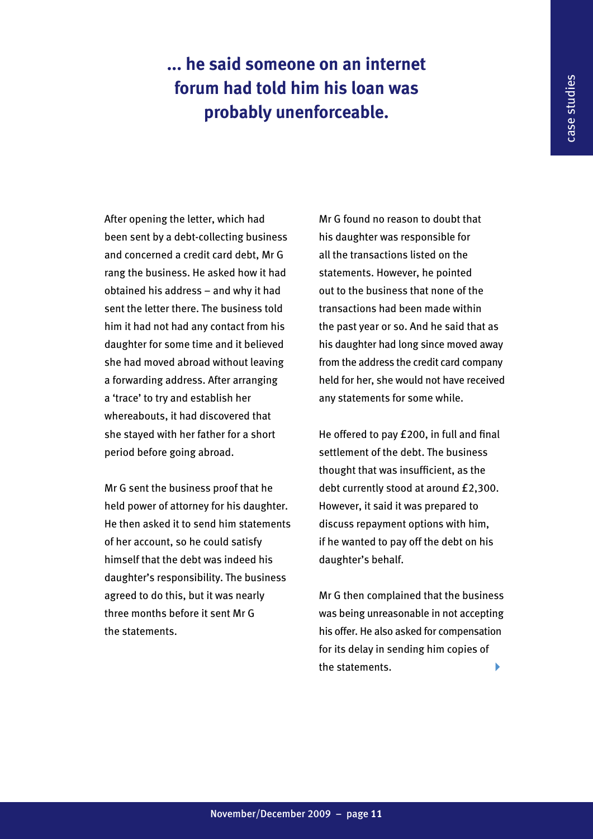## **... he said someone on an internet forum had told him his loan was probably unenforceable.**

After opening the letter, which had been sent by a debt-collecting business and concerned a credit card debt, Mr G rang the business. He asked how it had obtained his address – and why it had sent the letter there. The business told him it had not had any contact from his daughter for some time and it believed she had moved abroad without leaving a forwarding address. After arranging a 'trace' to try and establish her whereabouts, it had discovered that she stayed with her father for a short period before going abroad.

Mr G sent the business proof that he held power of attorney for his daughter. He then asked it to send him statements of her account, so he could satisfy himself that the debt was indeed his daughter's responsibility. The business agreed to do this, but it was nearly three months before it sent Mr G the statements.

Mr G found no reason to doubt that his daughter was responsible for all the transactions listed on the statements. However, he pointed out to the business that none of the transactions had been made within the past year or so. And he said that as his daughter had long since moved away from the address the credit card company held for her, she would not have received any statements for some while.

He offered to pay £200, in full and final settlement of the debt. The business thought that was insufficient, as the debt currently stood at around £2,300. However, it said it was prepared to discuss repayment options with him, if he wanted to pay off the debt on his daughter's behalf.

Mr G then complained that the business was being unreasonable in not accepting his offer. He also asked for compensation for its delay in sending him copies of the statements. 4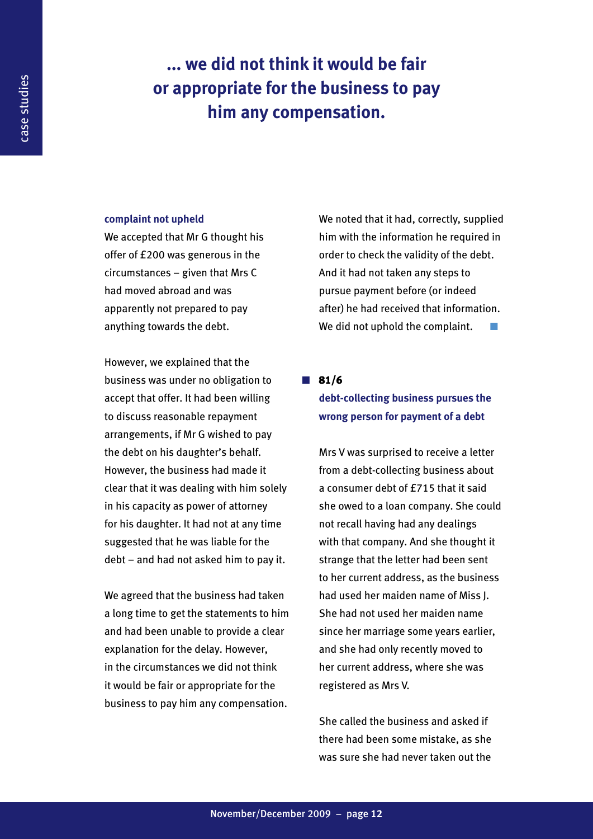### **... we did not think it would be fair or appropriate for the business to pay him any compensation.**

#### **complaint not upheld**

We accepted that Mr G thought his offer of £200 was generous in the circumstances – given that Mrs C had moved abroad and was apparently not prepared to pay anything towards the debt.

However, we explained that the business was under no obligation to accept that offer. It had been willing to discuss reasonable repayment arrangements, if Mr G wished to pay the debt on his daughter's behalf. However, the business had made it clear that it was dealing with him solely in his capacity as power of attorney for his daughter. It had not at any time suggested that he was liable for the debt – and had not asked him to pay it.

We agreed that the business had taken a long time to get the statements to him and had been unable to provide a clear explanation for the delay. However, in the circumstances we did not think it would be fair or appropriate for the business to pay him any compensation.

We noted that it had, correctly, supplied him with the information he required in order to check the validity of the debt. And it had not taken any steps to pursue payment before (or indeed after) he had received that information. We did not uphold the complaint.

 $\blacksquare$  81/6 **debt-collecting business pursues the wrong person for payment of a debt**

Mrs V was surprised to receive a letter from a debt-collecting business about a consumer debt of £715 that it said she owed to a loan company. She could not recall having had any dealings with that company. And she thought it strange that the letter had been sent to her current address, as the business had used her maiden name of Miss J. She had not used her maiden name since her marriage some years earlier, and she had only recently moved to her current address, where she was registered as Mrs V.

She called the business and asked if there had been some mistake, as she was sure she had never taken out the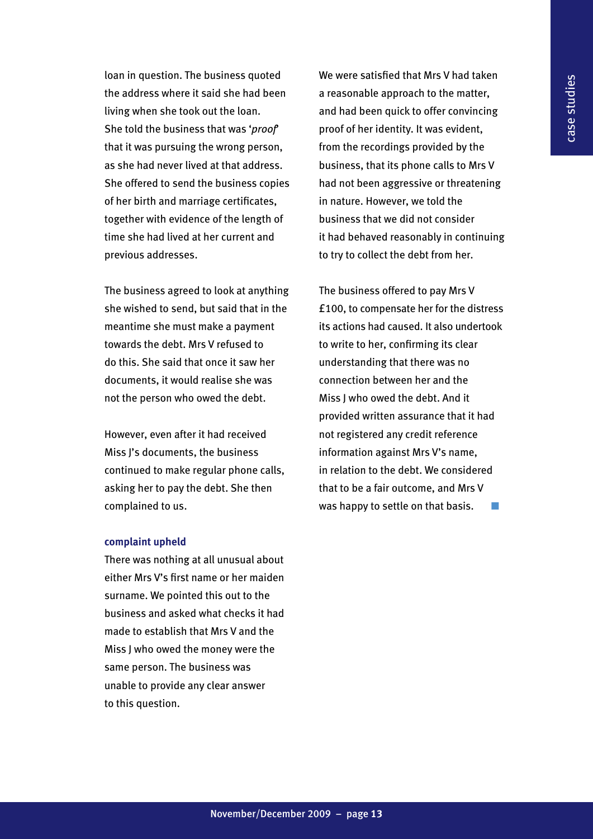loan in question. The business quoted the address where it said she had been living when she took out the loan. She told the business that was '*proof*' that it was pursuing the wrong person, as she had never lived at that address. She offered to send the business copies of her birth and marriage certificates, together with evidence of the length of time she had lived at her current and previous addresses.

The business agreed to look at anything she wished to send, but said that in the meantime she must make a payment towards the debt. Mrs V refused to do this. She said that once it saw her documents, it would realise she was not the person who owed the debt.

However, even after it had received Miss J's documents, the business continued to make regular phone calls, asking her to pay the debt. She then complained to us.

#### **complaint upheld**

There was nothing at all unusual about either Mrs V's first name or her maiden surname. We pointed this out to the business and asked what checks it had made to establish that Mrs V and the Miss J who owed the money were the same person. The business was unable to provide any clear answer to this question.

We were satisfied that Mrs V had taken a reasonable approach to the matter, and had been quick to offer convincing proof of her identity. It was evident, from the recordings provided by the business, that its phone calls to Mrs V had not been aggressive or threatening in nature. However, we told the business that we did not consider it had behaved reasonably in continuing to try to collect the debt from her.

The business offered to pay Mrs V £100, to compensate her for the distress its actions had caused. It also undertook to write to her, confirming its clear understanding that there was no connection between her and the Miss J who owed the debt. And it provided written assurance that it had not registered any credit reference information against Mrs V's name, in relation to the debt. We considered that to be a fair outcome, and Mrs V was happy to settle on that basis.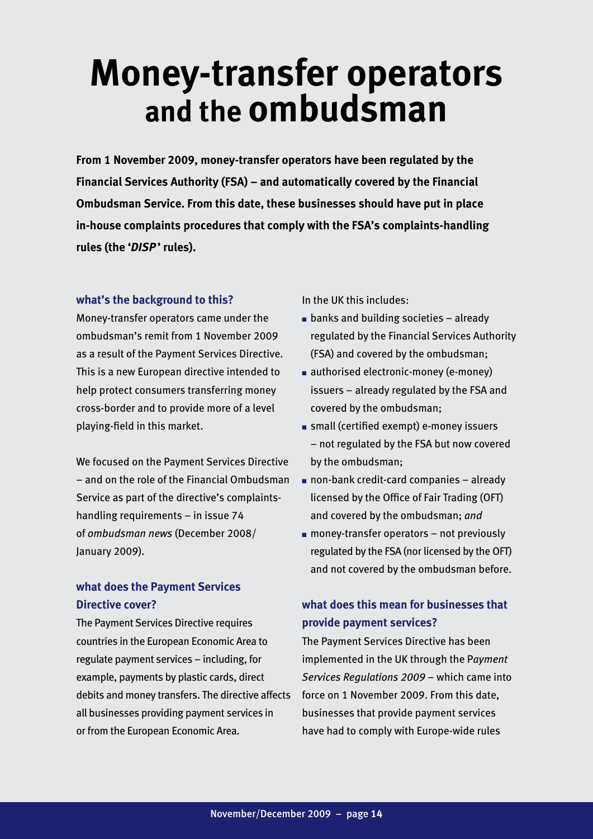## **Money-transfer operators and the ombudsman**

**From 1 November 2009, money-transfer operators have been regulated by the Financial Services Authority (FSA) – and automatically covered by the Financial Ombudsman Service. From this date, these businesses should have put in place in-house complaints procedures that comply with the FSA's complaints-handling rules (the '***DISP* **' rules).** 

#### **what's the background to this?**

Money-transfer operators came under the ombudsman's remit from 1 November 2009 as a result of the Payment Services Directive. This is a new European directive intended to help protect consumers transferring money cross-border and to provide more of a level playing-field in this market.

We focused on the Payment Services Directive – and on the role of the Financial Ombudsman Service as part of the directive's complaintshandling requirements – in issue 74 of *ombudsman news* (December 2008/ January 2009).

#### **what does the Payment Services Directive cover?**

The Payment Services Directive requires countries in the European Economic Area to regulate payment services – including, for example, payments by plastic cards, direct debits and money transfers. The directive affects all businesses providing payment services in or from the European Economic Area.

In the UK this includes:

- $\blacksquare$  banks and building societies already regulated by the Financial Services Authority (FSA) and covered by the ombudsman;
- authorised electronic-money (e-money) issuers – already regulated by the FSA and covered by the ombudsman;
- small (certified exempt) e-money issuers – not regulated by the FSA but now covered by the ombudsman;
- non-bank credit-card companies already licensed by the Office of Fair Trading (OFT) and covered by the ombudsman; *and*
- $\blacksquare$  money-transfer operators not previously regulated by the FSA (nor licensed by the OFT) and not covered by the ombudsman before.

#### **what does this mean for businesses that provide payment services?**

The Payment Services Directive has been implemented in the UK through the P*ayment Services Regulations 2009* – which came into force on 1 November 2009. From this date, businesses that provide payment services have had to comply with Europe-wide rules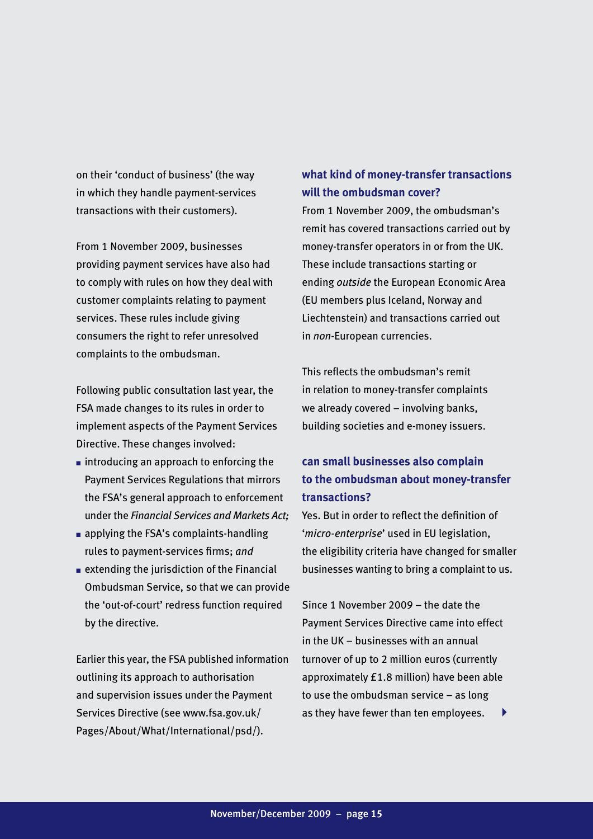on their 'conduct of business' (the way in which they handle payment-services transactions with their customers).

From 1 November 2009, businesses providing payment services have also had to comply with rules on how they deal with customer complaints relating to payment services. These rules include giving consumers the right to refer unresolved complaints to the ombudsman.

Following public consultation last year, the FSA made changes to its rules in order to implement aspects of the Payment Services Directive. These changes involved:

- introducing an approach to enforcing the Payment Services Regulations that mirrors the FSA's general approach to enforcement under the *Financial Services and Markets Act;*
- applying the FSA's complaints-handling rules to payment-services firms; *and*
- extending the jurisdiction of the Financial Ombudsman Service, so that we can provide the 'out-of-court' redress function required by the directive.

Earlier this year, the FSA published information outlining its approach to authorisation and supervision issues under the Payment Services Directive (see www.fsa.gov.uk/ Pages/About/What/International/psd/).

#### **what kind of money-transfer transactions will the ombudsman cover?**

From 1 November 2009, the ombudsman's remit has covered transactions carried out by money-transfer operators in or from the UK. These include transactions starting or ending *outside* the European Economic Area (EU members plus Iceland, Norway and Liechtenstein) and transactions carried out in *non*-European currencies.

This reflects the ombudsman's remit in relation to money-transfer complaints we already covered – involving banks, building societies and e-money issuers.

#### **can small businesses also complain to the ombudsman about money-transfer transactions?**

Yes. But in order to reflect the definition of '*micro-enterprise*' used in EU legislation, the eligibility criteria have changed for smaller businesses wanting to bring a complaint to us.

Since 1 November 2009 – the date the Payment Services Directive came into effect in the UK – businesses with an annual turnover of up to 2 million euros (currently approximately £1.8 million) have been able to use the ombudsman service – as long as they have fewer than ten employees.  $\blacktriangleright$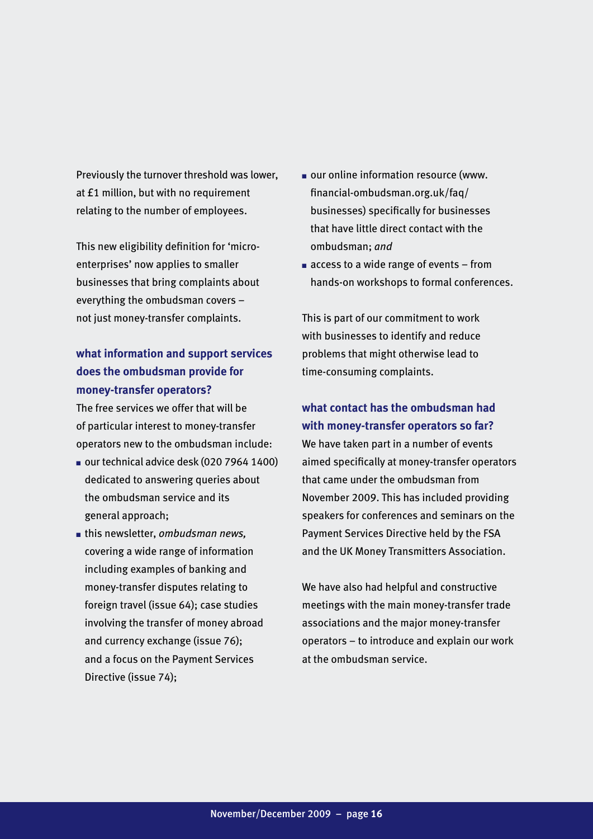Previously the turnover threshold was lower, at £1 million, but with no requirement relating to the number of employees.

This new eligibility definition for 'microenterprises' now applies to smaller businesses that bring complaints about everything the ombudsman covers – not just money-transfer complaints.

#### **what information and support services does the ombudsman provide for money-transfer operators?**

The free services we offer that will be of particular interest to money-transfer operators new to the ombudsman include:

- our technical advice desk (020 7964 1400) dedicated to answering queries about the ombudsman service and its general approach;
- this newsletter, *ombudsman news,* covering a wide range of information including examples of banking and money-transfer disputes relating to foreign travel (issue 64); case studies involving the transfer of money abroad and currency exchange (issue 76); and a focus on the Payment Services Directive (issue 74);
- our online information resource (www. financial-ombudsman.org.uk/faq/ businesses) specifically for businesses that have little direct contact with the ombudsman; *and*
- $\blacksquare$  access to a wide range of events from hands-on workshops to formal conferences.

This is part of our commitment to work with businesses to identify and reduce problems that might otherwise lead to time-consuming complaints.

#### **what contact has the ombudsman had with money-transfer operators so far?**

We have taken part in a number of events aimed specifically at money-transfer operators that came under the ombudsman from November 2009. This has included providing speakers for conferences and seminars on the Payment Services Directive held by the FSA and the UK Money Transmitters Association.

We have also had helpful and constructive meetings with the main money-transfer trade associations and the major money-transfer operators – to introduce and explain our work at the ombudsman service.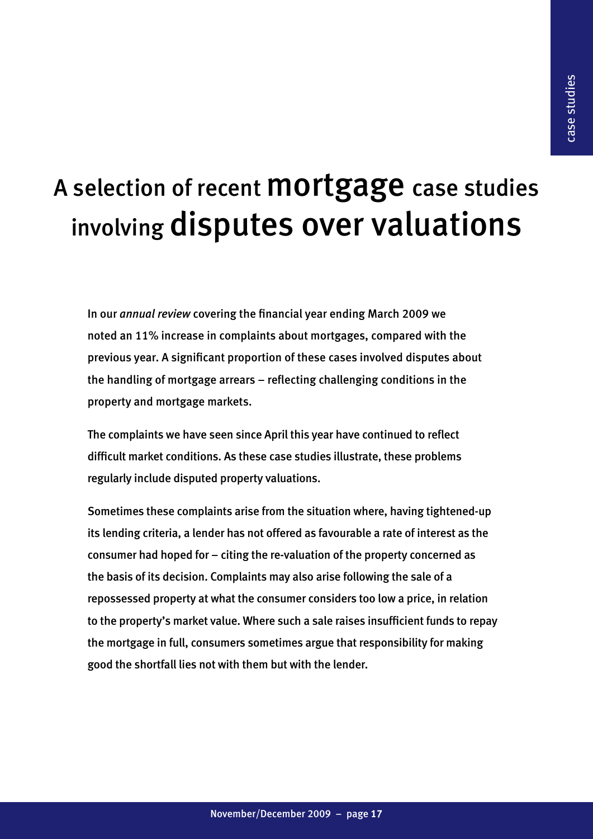## A selection of recent **mortgage** case studies involving disputes over valuations

In our *annual review* covering the financial year ending March 2009 we noted an 11% increase in complaints about mortgages, compared with the previous year. A significant proportion of these cases involved disputes about the handling of mortgage arrears – reflecting challenging conditions in the property and mortgage markets.

The complaints we have seen since April this year have continued to reflect difficult market conditions. As these case studies illustrate, these problems regularly include disputed property valuations.

Sometimes these complaints arise from the situation where, having tightened-up its lending criteria, a lender has not offered as favourable a rate of interest as the consumer had hoped for – citing the re-valuation of the property concerned as the basis of its decision. Complaints may also arise following the sale of a repossessed property at what the consumer considers too low a price, in relation to the property's market value. Where such a sale raises insufficient funds to repay the mortgage in full, consumers sometimes argue that responsibility for making good the shortfall lies not with them but with the lender.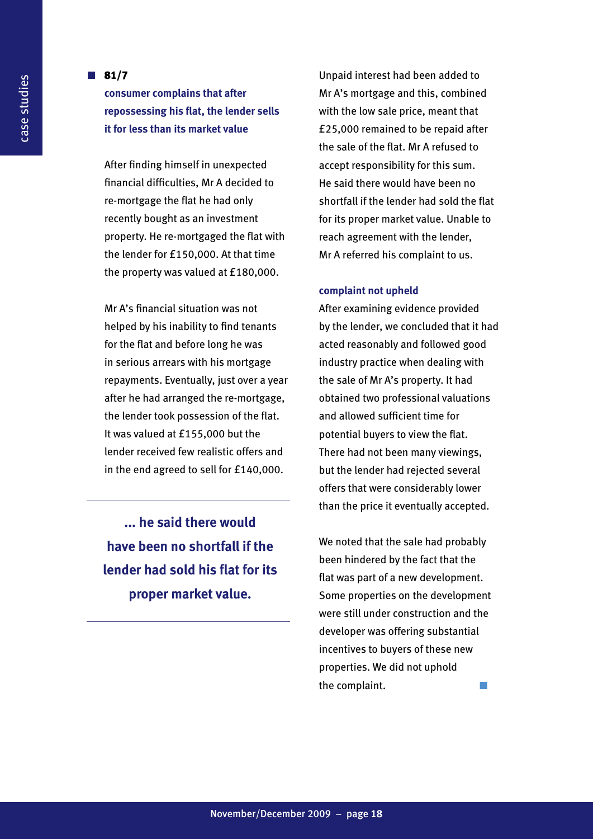#### $\blacksquare$  81/7

**consumer complains that after repossessing his flat, the lender sells it for less than its market value**

After finding himself in unexpected financial difficulties, Mr A decided to re-mortgage the flat he had only recently bought as an investment property. He re-mortgaged the flat with the lender for £150,000. At that time the property was valued at £180,000.

Mr A's financial situation was not helped by his inability to find tenants for the flat and before long he was in serious arrears with his mortgage repayments. Eventually, just over a year after he had arranged the re-mortgage, the lender took possession of the flat. It was valued at £155,000 but the lender received few realistic offers and in the end agreed to sell for £140,000.

**... he said there would have been no shortfall if the lender had sold his flat for its proper market value.**

Unpaid interest had been added to Mr A's mortgage and this, combined with the low sale price, meant that £25,000 remained to be repaid after the sale of the flat. Mr A refused to accept responsibility for this sum. He said there would have been no shortfall if the lender had sold the flat for its proper market value. Unable to reach agreement with the lender, Mr A referred his complaint to us.

#### **complaint not upheld**

After examining evidence provided by the lender, we concluded that it had acted reasonably and followed good industry practice when dealing with the sale of Mr A's property. It had obtained two professional valuations and allowed sufficient time for potential buyers to view the flat. There had not been many viewings, but the lender had rejected several offers that were considerably lower than the price it eventually accepted.

We noted that the sale had probably been hindered by the fact that the flat was part of a new development. Some properties on the development were still under construction and the developer was offering substantial incentives to buyers of these new properties. We did not uphold the complaint.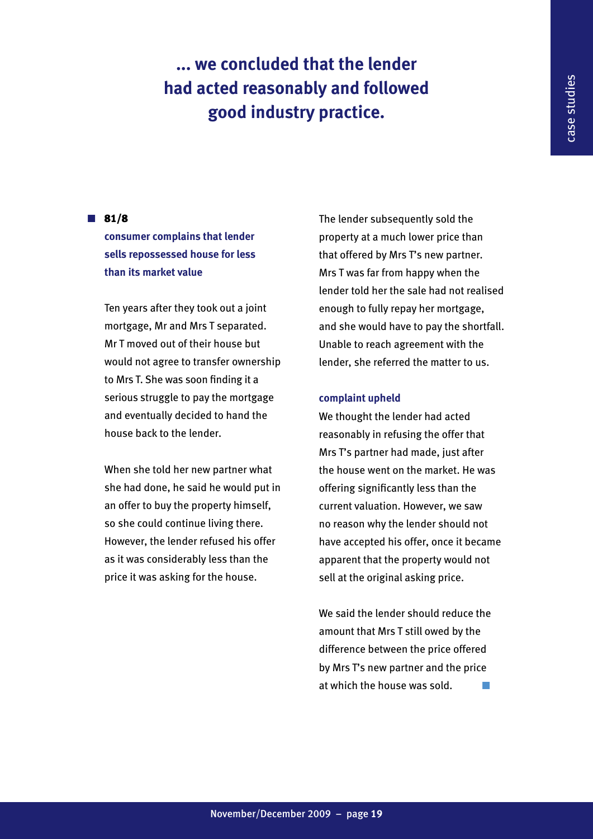## **... we concluded that the lender had acted reasonably and followed good industry practice.**

#### $\blacksquare$  81/8

**consumer complains that lender sells repossessed house for less than its market value**

Ten years after they took out a joint mortgage, Mr and Mrs T separated. Mr T moved out of their house but would not agree to transfer ownership to Mrs T. She was soon finding it a serious struggle to pay the mortgage and eventually decided to hand the house back to the lender.

When she told her new partner what she had done, he said he would put in an offer to buy the property himself, so she could continue living there. However, the lender refused his offer as it was considerably less than the price it was asking for the house.

The lender subsequently sold the property at a much lower price than that offered by Mrs T's new partner. Mrs T was far from happy when the lender told her the sale had not realised enough to fully repay her mortgage, and she would have to pay the shortfall. Unable to reach agreement with the lender, she referred the matter to us.

#### **complaint upheld**

We thought the lender had acted reasonably in refusing the offer that Mrs T's partner had made, just after the house went on the market. He was offering significantly less than the current valuation. However, we saw no reason why the lender should not have accepted his offer, once it became apparent that the property would not sell at the original asking price.

We said the lender should reduce the amount that Mrs T still owed by the difference between the price offered by Mrs T's new partner and the price at which the house was sold.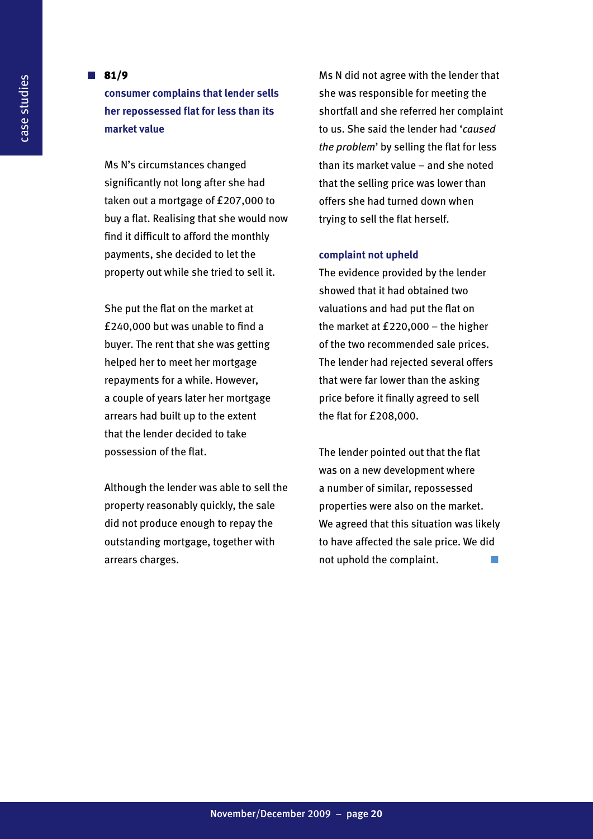#### $\blacksquare$  81/9

**consumer complains that lender sells her repossessed flat for less than its market value**

Ms N's circumstances changed significantly not long after she had taken out a mortgage of £207,000 to buy a flat. Realising that she would now find it difficult to afford the monthly payments, she decided to let the property out while she tried to sell it.

She put the flat on the market at £240,000 but was unable to find a buyer. The rent that she was getting helped her to meet her mortgage repayments for a while. However, a couple of years later her mortgage arrears had built up to the extent that the lender decided to take possession of the flat.

Although the lender was able to sell the property reasonably quickly, the sale did not produce enough to repay the outstanding mortgage, together with arrears charges.

Ms N did not agree with the lender that she was responsible for meeting the shortfall and she referred her complaint to us. She said the lender had '*caused the problem*' by selling the flat for less than its market value – and she noted that the selling price was lower than offers she had turned down when trying to sell the flat herself.

#### **complaint not upheld**

The evidence provided by the lender showed that it had obtained two valuations and had put the flat on the market at £220,000 – the higher of the two recommended sale prices. The lender had rejected several offers that were far lower than the asking price before it finally agreed to sell the flat for £208,000.

The lender pointed out that the flat was on a new development where a number of similar, repossessed properties were also on the market. We agreed that this situation was likely to have affected the sale price. We did not uphold the complaint.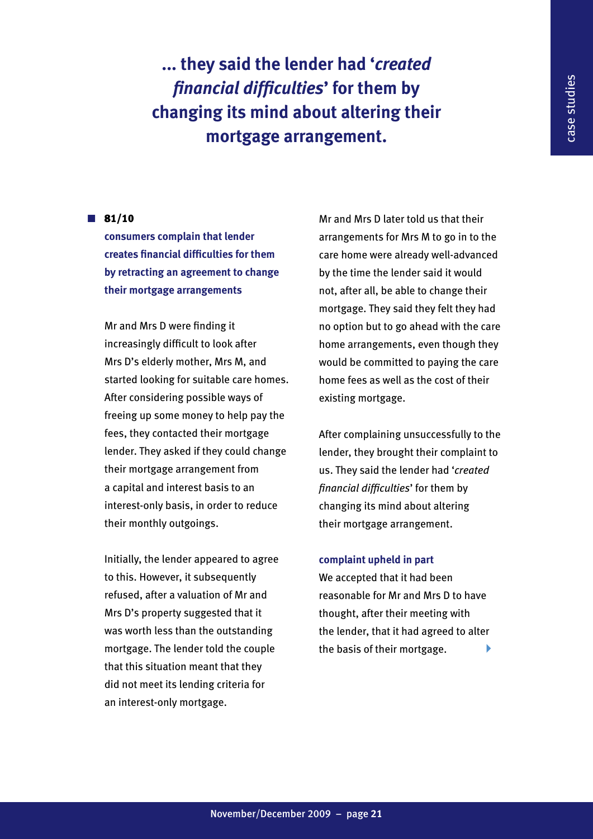**... they said the lender had '***created financial difficulties***' for them by changing its mind about altering their mortgage arrangement.**

#### $\blacksquare$  81/10

**consumers complain that lender creates financial difficulties for them by retracting an agreement to change their mortgage arrangements** 

Mr and Mrs D were finding it increasingly difficult to look after Mrs D's elderly mother, Mrs M, and started looking for suitable care homes. After considering possible ways of freeing up some money to help pay the fees, they contacted their mortgage lender. They asked if they could change their mortgage arrangement from a capital and interest basis to an interest-only basis, in order to reduce their monthly outgoings.

Initially, the lender appeared to agree to this. However, it subsequently refused, after a valuation of Mr and Mrs D's property suggested that it was worth less than the outstanding mortgage. The lender told the couple that this situation meant that they did not meet its lending criteria for an interest-only mortgage.

Mr and Mrs D later told us that their arrangements for Mrs M to go in to the care home were already well-advanced by the time the lender said it would not, after all, be able to change their mortgage. They said they felt they had no option but to go ahead with the care home arrangements, even though they would be committed to paying the care home fees as well as the cost of their existing mortgage.

After complaining unsuccessfully to the lender, they brought their complaint to us. They said the lender had '*created financial difficulties*' for them by changing its mind about altering their mortgage arrangement.

#### **complaint upheld in part**

We accepted that it had been reasonable for Mr and Mrs D to have thought, after their meeting with the lender, that it had agreed to alter the basis of their mortgage. 4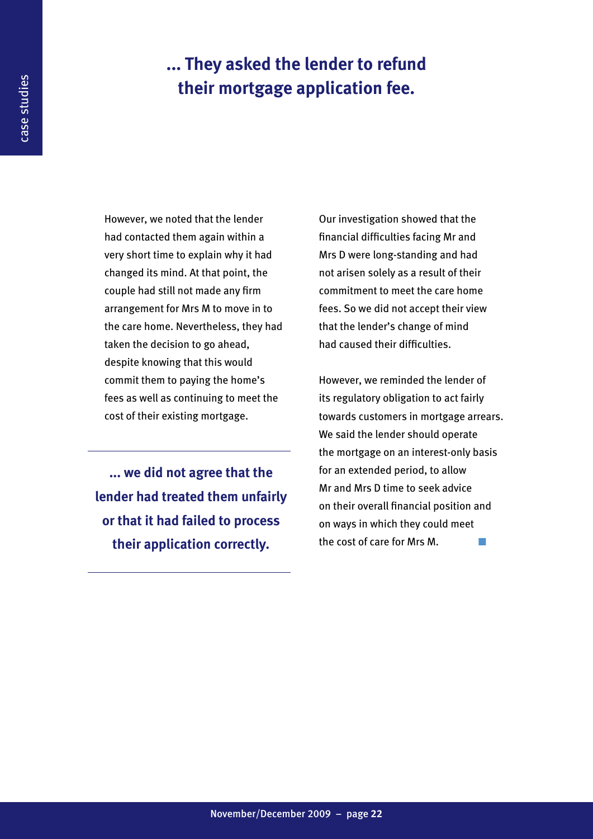### **... They asked the lender to refund their mortgage application fee.**

However, we noted that the lender had contacted them again within a very short time to explain why it had changed its mind. At that point, the couple had still not made any firm arrangement for Mrs M to move in to the care home. Nevertheless, they had taken the decision to go ahead, despite knowing that this would commit them to paying the home's fees as well as continuing to meet the cost of their existing mortgage.

**... we did not agree that the lender had treated them unfairly or that it had failed to process their application correctly.**

Our investigation showed that the financial difficulties facing Mr and Mrs D were long-standing and had not arisen solely as a result of their commitment to meet the care home fees. So we did not accept their view that the lender's change of mind had caused their difficulties.

However, we reminded the lender of its regulatory obligation to act fairly towards customers in mortgage arrears. We said the lender should operate the mortgage on an interest-only basis for an extended period, to allow Mr and Mrs D time to seek advice on their overall financial position and on ways in which they could meet the cost of care for Mrs M.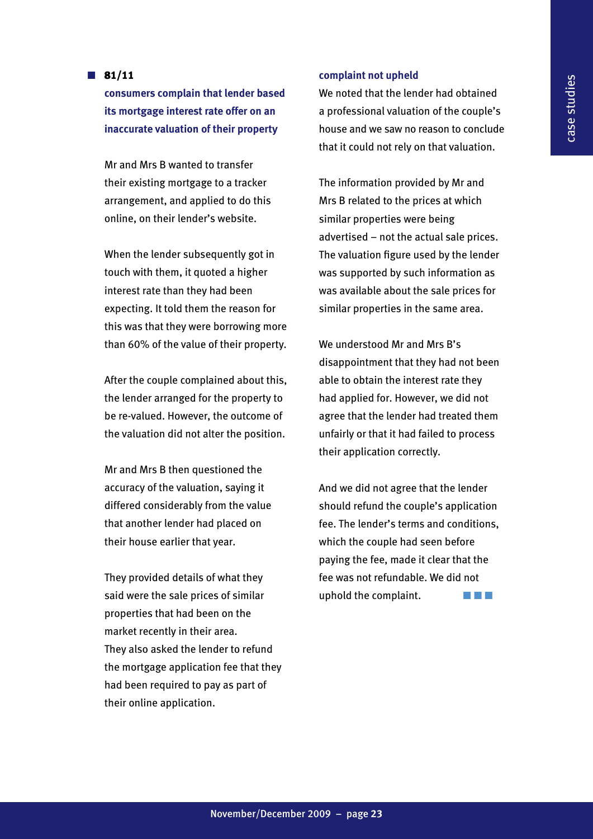#### $\blacksquare$  81/11

**consumers complain that lender based its mortgage interest rate offer on an inaccurate valuation of their property**

Mr and Mrs B wanted to transfer their existing mortgage to a tracker arrangement, and applied to do this online, on their lender's website.

When the lender subsequently got in touch with them, it quoted a higher interest rate than they had been expecting. It told them the reason for this was that they were borrowing more than 60% of the value of their property.

After the couple complained about this, the lender arranged for the property to be re-valued. However, the outcome of the valuation did not alter the position.

Mr and Mrs B then questioned the accuracy of the valuation, saying it differed considerably from the value that another lender had placed on their house earlier that year.

They provided details of what they said were the sale prices of similar properties that had been on the market recently in their area. They also asked the lender to refund the mortgage application fee that they had been required to pay as part of their online application.

#### **complaint not upheld**

We noted that the lender had obtained a professional valuation of the couple's house and we saw no reason to conclude that it could not rely on that valuation.

The information provided by Mr and Mrs B related to the prices at which similar properties were being advertised – not the actual sale prices. The valuation figure used by the lender was supported by such information as was available about the sale prices for similar properties in the same area.

We understood Mr and Mrs B's disappointment that they had not been able to obtain the interest rate they had applied for. However, we did not agree that the lender had treated them unfairly or that it had failed to process their application correctly.

And we did not agree that the lender should refund the couple's application fee. The lender's terms and conditions, which the couple had seen before paying the fee, made it clear that the fee was not refundable. We did not uphold the complaint.  $\blacksquare$